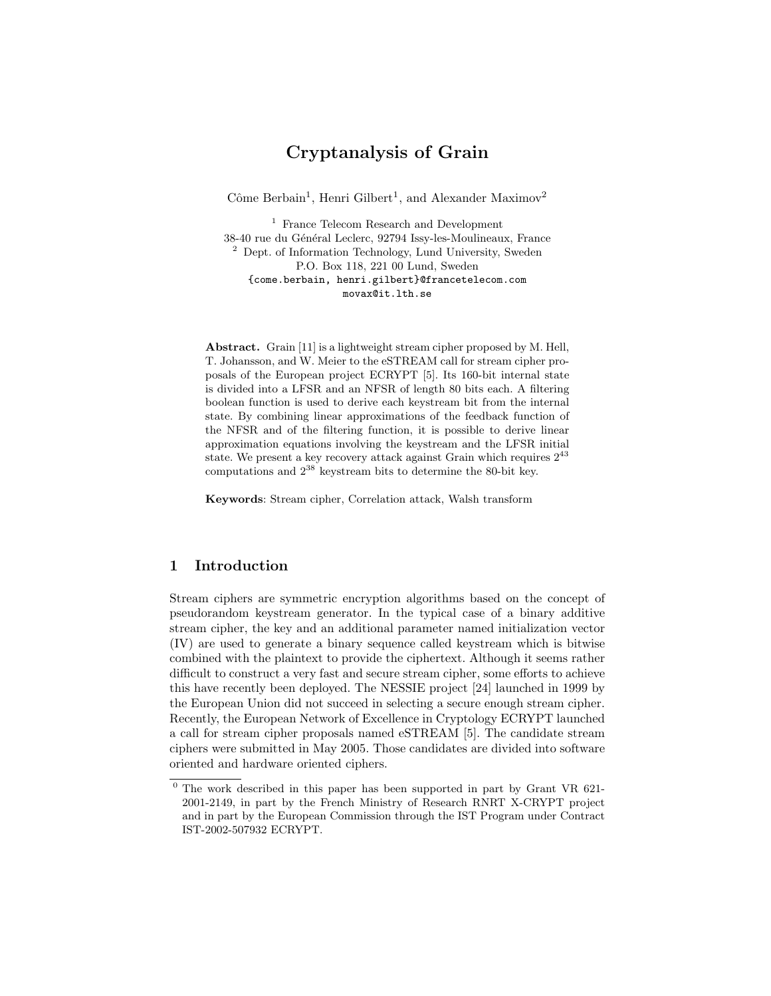# Cryptanalysis of Grain

Côme Berbain<sup>1</sup>, Henri Gilbert<sup>1</sup>, and Alexander Maximov<sup>2</sup>

<sup>1</sup> France Telecom Research and Development 38-40 rue du Général Leclerc, 92794 Issy-les-Moulineaux, France  $^2$  Dept. of Information Technology, Lund University, Sweden P.O. Box 118, 221 00 Lund, Sweden {come.berbain, henri.gilbert}@francetelecom.com movax@it.lth.se

Abstract. Grain [11] is a lightweight stream cipher proposed by M. Hell, T. Johansson, and W. Meier to the eSTREAM call for stream cipher proposals of the European project ECRYPT [5]. Its 160-bit internal state is divided into a LFSR and an NFSR of length 80 bits each. A filtering boolean function is used to derive each keystream bit from the internal state. By combining linear approximations of the feedback function of the NFSR and of the filtering function, it is possible to derive linear approximation equations involving the keystream and the LFSR initial state. We present a key recovery attack against Grain which requires  $2^{43}$ computations and  $2^{38}$  keystream bits to determine the 80-bit key.

Keywords: Stream cipher, Correlation attack, Walsh transform

# 1 Introduction

Stream ciphers are symmetric encryption algorithms based on the concept of pseudorandom keystream generator. In the typical case of a binary additive stream cipher, the key and an additional parameter named initialization vector (IV) are used to generate a binary sequence called keystream which is bitwise combined with the plaintext to provide the ciphertext. Although it seems rather difficult to construct a very fast and secure stream cipher, some efforts to achieve this have recently been deployed. The NESSIE project [24] launched in 1999 by the European Union did not succeed in selecting a secure enough stream cipher. Recently, the European Network of Excellence in Cryptology ECRYPT launched a call for stream cipher proposals named eSTREAM [5]. The candidate stream ciphers were submitted in May 2005. Those candidates are divided into software oriented and hardware oriented ciphers.

 $0$  The work described in this paper has been supported in part by Grant VR 621-2001-2149, in part by the French Ministry of Research RNRT X-CRYPT project and in part by the European Commission through the IST Program under Contract IST-2002-507932 ECRYPT.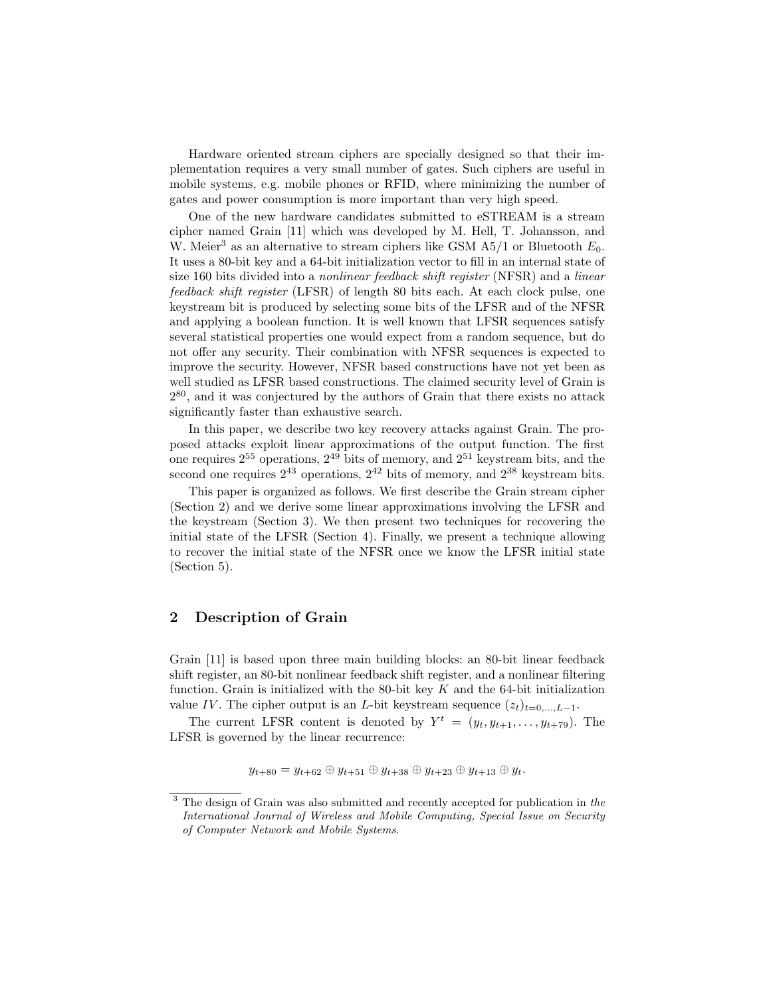Hardware oriented stream ciphers are specially designed so that their implementation requires a very small number of gates. Such ciphers are useful in mobile systems, e.g. mobile phones or RFID, where minimizing the number of gates and power consumption is more important than very high speed.

One of the new hardware candidates submitted to eSTREAM is a stream cipher named Grain [11] which was developed by M. Hell, T. Johansson, and W. Meier<sup>3</sup> as an alternative to stream ciphers like GSM A5/1 or Bluetooth  $E_0$ . It uses a 80-bit key and a 64-bit initialization vector to fill in an internal state of size 160 bits divided into a nonlinear feedback shift register (NFSR) and a linear feedback shift register (LFSR) of length 80 bits each. At each clock pulse, one keystream bit is produced by selecting some bits of the LFSR and of the NFSR and applying a boolean function. It is well known that LFSR sequences satisfy several statistical properties one would expect from a random sequence, but do not offer any security. Their combination with NFSR sequences is expected to improve the security. However, NFSR based constructions have not yet been as well studied as LFSR based constructions. The claimed security level of Grain is 2 <sup>80</sup>, and it was conjectured by the authors of Grain that there exists no attack significantly faster than exhaustive search.

In this paper, we describe two key recovery attacks against Grain. The proposed attacks exploit linear approximations of the output function. The first one requires  $2^{55}$  operations,  $2^{49}$  bits of memory, and  $2^{51}$  keystream bits, and the second one requires  $2^{43}$  operations,  $2^{42}$  bits of memory, and  $2^{38}$  keystream bits.

This paper is organized as follows. We first describe the Grain stream cipher (Section 2) and we derive some linear approximations involving the LFSR and the keystream (Section 3). We then present two techniques for recovering the initial state of the LFSR (Section 4). Finally, we present a technique allowing to recover the initial state of the NFSR once we know the LFSR initial state (Section 5).

# 2 Description of Grain

Grain [11] is based upon three main building blocks: an 80-bit linear feedback shift register, an 80-bit nonlinear feedback shift register, and a nonlinear filtering function. Grain is initialized with the 80-bit key  $K$  and the 64-bit initialization value IV. The cipher output is an L-bit keystream sequence  $(z_t)_{t=0,\ldots,L-1}$ .

The current LFSR content is denoted by  $Y^t = (y_t, y_{t+1}, \ldots, y_{t+79})$ . The LFSR is governed by the linear recurrence:

$$
y_{t+80} = y_{t+62} \oplus y_{t+51} \oplus y_{t+38} \oplus y_{t+23} \oplus y_{t+13} \oplus y_t.
$$

<sup>&</sup>lt;sup>3</sup> The design of Grain was also submitted and recently accepted for publication in the International Journal of Wireless and Mobile Computing, Special Issue on Security of Computer Network and Mobile Systems.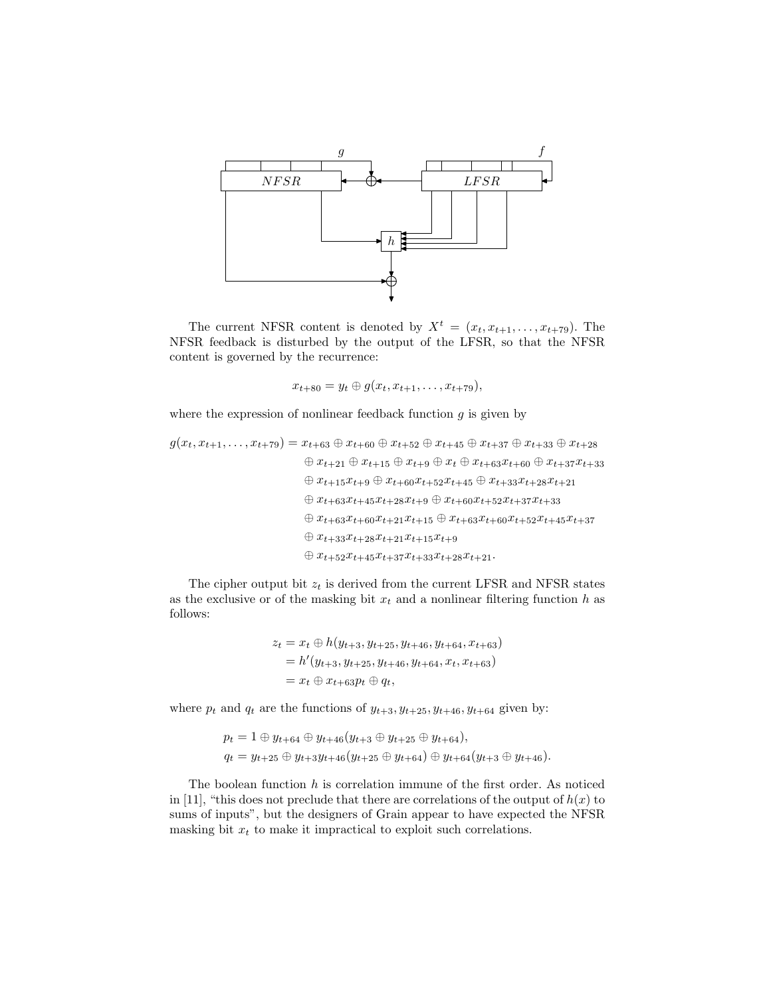

The current NFSR content is denoted by  $X^t = (x_t, x_{t+1}, \ldots, x_{t+79})$ . The NFSR feedback is disturbed by the output of the LFSR, so that the NFSR content is governed by the recurrence:

$$
x_{t+80} = y_t \oplus g(x_t, x_{t+1}, \ldots, x_{t+79}),
$$

where the expression of nonlinear feedback function  $g$  is given by

$$
g(x_t, x_{t+1}, \ldots, x_{t+79}) = x_{t+63} \oplus x_{t+60} \oplus x_{t+52} \oplus x_{t+45} \oplus x_{t+37} \oplus x_{t+33} \oplus x_{t+28}
$$
  
\n
$$
\oplus x_{t+21} \oplus x_{t+15} \oplus x_{t+9} \oplus x_t \oplus x_{t+63} x_{t+60} \oplus x_{t+37} x_{t+33}
$$
  
\n
$$
\oplus x_{t+15} x_{t+9} \oplus x_{t+60} x_{t+52} x_{t+45} \oplus x_{t+33} x_{t+28} x_{t+21}
$$
  
\n
$$
\oplus x_{t+63} x_{t+45} x_{t+28} x_{t+9} \oplus x_{t+60} x_{t+52} x_{t+37} x_{t+33}
$$
  
\n
$$
\oplus x_{t+63} x_{t+60} x_{t+21} x_{t+15} \oplus x_{t+63} x_{t+60} x_{t+52} x_{t+45} x_{t+37}
$$
  
\n
$$
\oplus x_{t+33} x_{t+28} x_{t+21} x_{t+15} x_{t+9}
$$
  
\n
$$
\oplus x_{t+52} x_{t+45} x_{t+37} x_{t+33} x_{t+28} x_{t+21}.
$$

The cipher output bit  $z_t$  is derived from the current LFSR and NFSR states as the exclusive or of the masking bit  $x_t$  and a nonlinear filtering function h as follows:

$$
z_t = x_t \oplus h(y_{t+3}, y_{t+25}, y_{t+46}, y_{t+64}, x_{t+63})
$$
  
=  $h'(y_{t+3}, y_{t+25}, y_{t+46}, y_{t+64}, x_t, x_{t+63})$   
=  $x_t \oplus x_{t+63} p_t \oplus q_t$ ,

where  $p_t$  and  $q_t$  are the functions of  $y_{t+3}, y_{t+25}, y_{t+46}, y_{t+64}$  given by:

$$
p_t = 1 \oplus y_{t+64} \oplus y_{t+46}(y_{t+3} \oplus y_{t+25} \oplus y_{t+64}),
$$
  
\n
$$
q_t = y_{t+25} \oplus y_{t+3}y_{t+46}(y_{t+25} \oplus y_{t+64}) \oplus y_{t+64}(y_{t+3} \oplus y_{t+46}).
$$

The boolean function  $h$  is correlation immune of the first order. As noticed in [11], "this does not preclude that there are correlations of the output of  $h(x)$  to sums of inputs", but the designers of Grain appear to have expected the NFSR masking bit  $x_t$  to make it impractical to exploit such correlations.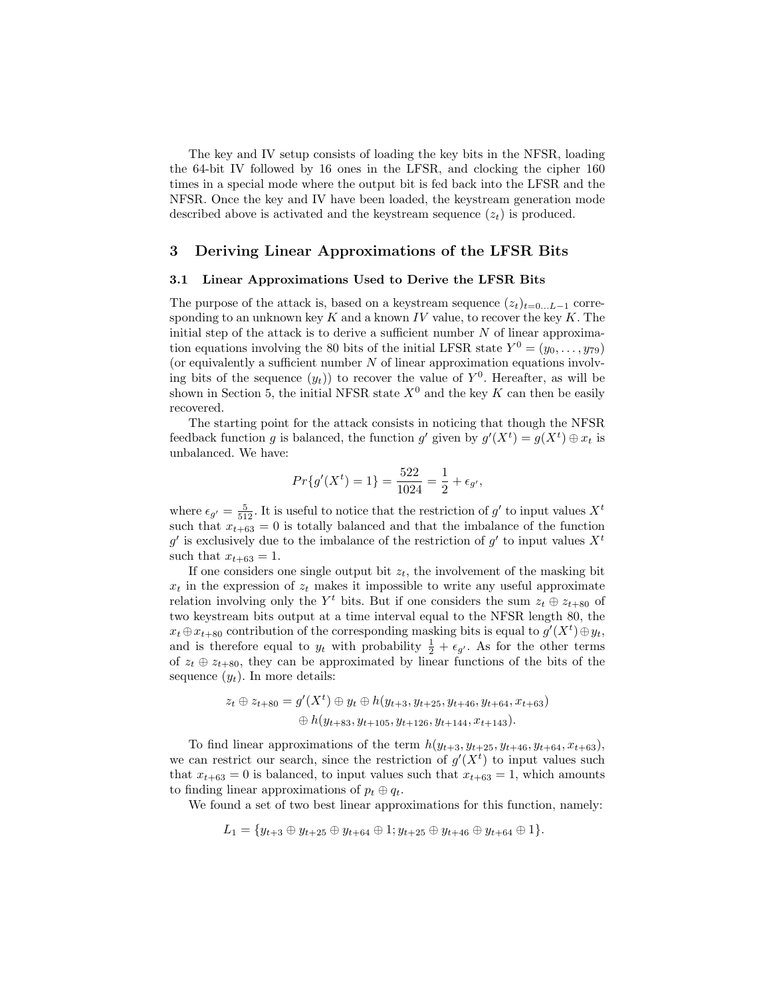The key and IV setup consists of loading the key bits in the NFSR, loading the 64-bit IV followed by 16 ones in the LFSR, and clocking the cipher 160 times in a special mode where the output bit is fed back into the LFSR and the NFSR. Once the key and IV have been loaded, the keystream generation mode described above is activated and the keystream sequence  $(z_t)$  is produced.

#### 3 Deriving Linear Approximations of the LFSR Bits

#### 3.1 Linear Approximations Used to Derive the LFSR Bits

The purpose of the attack is, based on a keystream sequence  $(z_t)_{t=0...L-1}$  corresponding to an unknown key  $K$  and a known  $IV$  value, to recover the key  $K$ . The initial step of the attack is to derive a sufficient number  $N$  of linear approximation equations involving the 80 bits of the initial LFSR state  $Y^0 = (y_0, \ldots, y_{79})$ (or equivalently a sufficient number  $N$  of linear approximation equations involving bits of the sequence  $(y_t)$  to recover the value of  $Y^0$ . Hereafter, as will be shown in Section 5, the initial NFSR state  $X^0$  and the key K can then be easily recovered.

The starting point for the attack consists in noticing that though the NFSR feedback function g is balanced, the function g' given by  $g'(X^t) = g(X^t) \oplus x_t$  is unbalanced. We have:

$$
Pr{g'(Xt) = 1} = \frac{522}{1024} = \frac{1}{2} + \epsilon_{g'},
$$

where  $\epsilon_{g'} = \frac{5}{512}$ . It is useful to notice that the restriction of  $g'$  to input values  $X<sup>t</sup>$ such that  $x_{t+63} = 0$  is totally balanced and that the imbalance of the function g' is exclusively due to the imbalance of the restriction of g' to input values  $X<sup>t</sup>$ such that  $x_{t+63} = 1$ .

If one considers one single output bit  $z_t$ , the involvement of the masking bit  $x_t$  in the expression of  $z_t$  makes it impossible to write any useful approximate relation involving only the  $Y^t$  bits. But if one considers the sum  $z_t \oplus z_{t+80}$  of two keystream bits output at a time interval equal to the NFSR length 80, the  $x_t \oplus x_{t+80}$  contribution of the corresponding masking bits is equal to  $g'(X^t) \oplus y_t$ , and is therefore equal to  $y_t$  with probability  $\frac{1}{2} + \epsilon_{g'}$ . As for the other terms of  $z_t \oplus z_{t+80}$ , they can be approximated by linear functions of the bits of the sequence  $(y_t)$ . In more details:

$$
z_t \oplus z_{t+80} = g'(X^t) \oplus y_t \oplus h(y_{t+3}, y_{t+25}, y_{t+46}, y_{t+64}, x_{t+63})
$$
  

$$
\oplus h(y_{t+83}, y_{t+105}, y_{t+126}, y_{t+144}, x_{t+143}).
$$

To find linear approximations of the term  $h(y_{t+3}, y_{t+25}, y_{t+46}, y_{t+64}, x_{t+63})$ , we can restrict our search, since the restriction of  $g'(X<sup>t</sup>)$  to input values such that  $x_{t+63} = 0$  is balanced, to input values such that  $x_{t+63} = 1$ , which amounts to finding linear approximations of  $p_t \oplus q_t$ .

We found a set of two best linear approximations for this function, namely:

$$
L_1 = \{y_{t+3} \oplus y_{t+25} \oplus y_{t+64} \oplus 1; y_{t+25} \oplus y_{t+46} \oplus y_{t+64} \oplus 1\}.
$$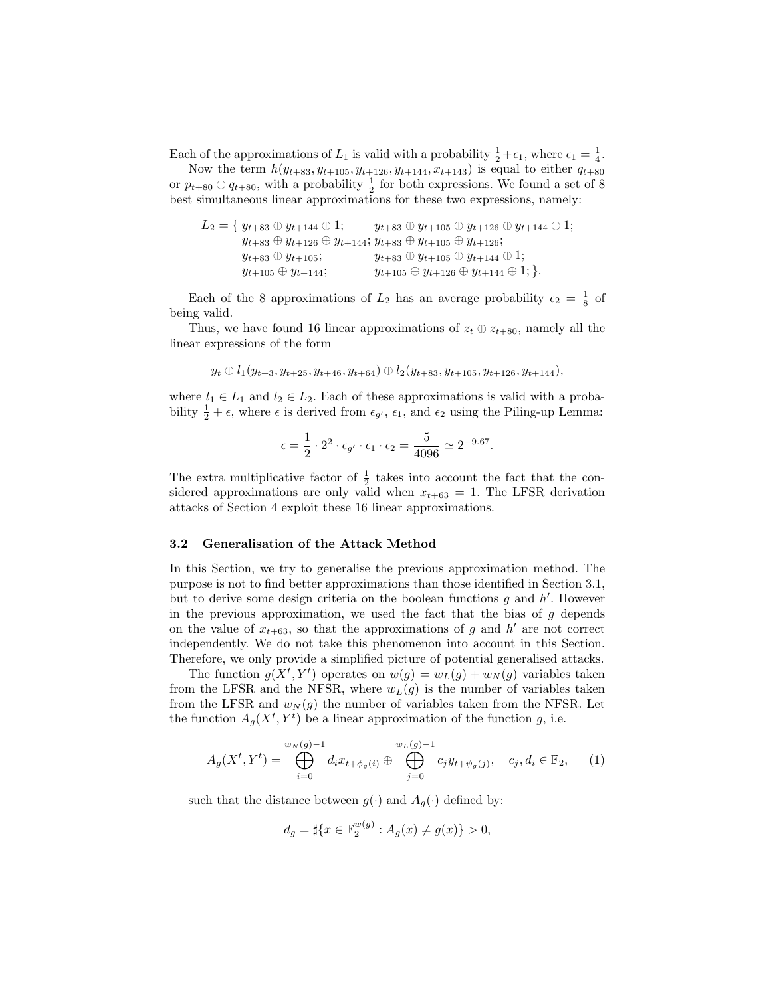Each of the approximations of  $L_1$  is valid with a probability  $\frac{1}{2} + \epsilon_1$ , where  $\epsilon_1 = \frac{1}{4}$ .

Now the term  $h(y_{t+83}, y_{t+105}, y_{t+126}, y_{t+144}, x_{t+143})$  is equal to either  $q_{t+80}$ or  $p_{t+80} \oplus q_{t+80}$ , with a probability  $\frac{1}{2}$  for both expressions. We found a set of 8 best simultaneous linear approximations for these two expressions, namely:

$$
L_2 = \{ y_{t+83} \oplus y_{t+144} \oplus 1; \qquad y_{t+83} \oplus y_{t+105} \oplus y_{t+126} \oplus y_{t+144} \oplus 1; \ny_{t+83} \oplus y_{t+126} \oplus y_{t+144}; y_{t+83} \oplus y_{t+105} \oplus y_{t+126}; \ny_{t+83} \oplus y_{t+105}; \qquad y_{t+83} \oplus y_{t+105} \oplus y_{t+144} \oplus 1; \ny_{t+105} \oplus y_{t+144}; \qquad y_{t+105} \oplus y_{t+126} \oplus y_{t+144} \oplus 1; \}.
$$

Each of the 8 approximations of  $L_2$  has an average probability  $\epsilon_2 = \frac{1}{8}$  of being valid.

Thus, we have found 16 linear approximations of  $z_t \oplus z_{t+80}$ , namely all the linear expressions of the form

$$
y_t \oplus l_1(y_{t+3}, y_{t+25}, y_{t+46}, y_{t+64}) \oplus l_2(y_{t+83}, y_{t+105}, y_{t+126}, y_{t+144}),
$$

where  $l_1 \in L_1$  and  $l_2 \in L_2$ . Each of these approximations is valid with a probability  $\frac{1}{2} + \epsilon$ , where  $\epsilon$  is derived from  $\epsilon_{g'}$ ,  $\epsilon_1$ , and  $\epsilon_2$  using the Piling-up Lemma:

$$
\epsilon = \frac{1}{2} \cdot 2^2 \cdot \epsilon_{g'} \cdot \epsilon_1 \cdot \epsilon_2 = \frac{5}{4096} \simeq 2^{-9.67}.
$$

The extra multiplicative factor of  $\frac{1}{2}$  takes into account the fact that the considered approximations are only valid when  $x_{t+63} = 1$ . The LFSR derivation attacks of Section 4 exploit these 16 linear approximations.

#### 3.2 Generalisation of the Attack Method

In this Section, we try to generalise the previous approximation method. The purpose is not to find better approximations than those identified in Section 3.1, but to derive some design criteria on the boolean functions  $g$  and  $h'$ . However in the previous approximation, we used the fact that the bias of  $g$  depends on the value of  $x_{t+63}$ , so that the approximations of g and h' are not correct independently. We do not take this phenomenon into account in this Section. Therefore, we only provide a simplified picture of potential generalised attacks.

The function  $g(X^t, Y^t)$  operates on  $w(g) = w_L(g) + w_N(g)$  variables taken from the LFSR and the NFSR, where  $w_L(g)$  is the number of variables taken from the LFSR and  $w_N(g)$  the number of variables taken from the NFSR. Let the function  $A_g(X^t, Y^t)$  be a linear approximation of the function g, i.e.

$$
A_g(X^t, Y^t) = \bigoplus_{i=0}^{w_N(g)-1} d_i x_{t+\phi_g(i)} \oplus \bigoplus_{j=0}^{w_L(g)-1} c_j y_{t+\psi_g(j)}, \quad c_j, d_i \in \mathbb{F}_2,\qquad(1)
$$

such that the distance between  $g(\cdot)$  and  $A_g(\cdot)$  defined by:

$$
d_g = \sharp \{ x \in \mathbb{F}_2^{w(g)} : A_g(x) \neq g(x) \} > 0,
$$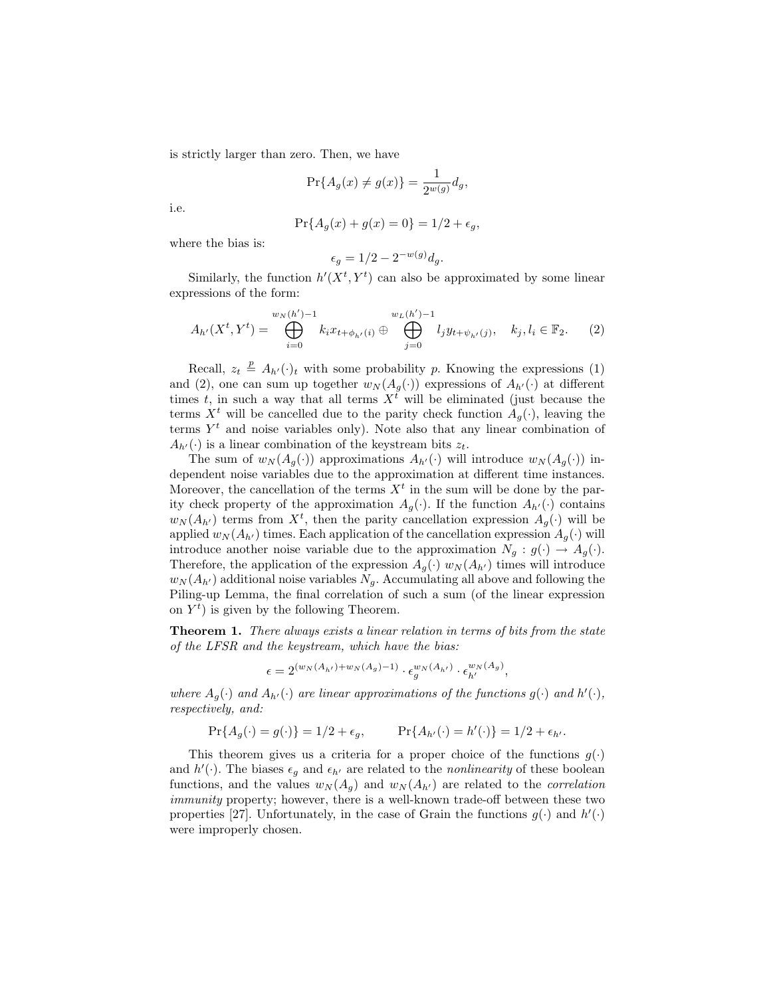is strictly larger than zero. Then, we have

$$
\Pr\{A_g(x) \neq g(x)\} = \frac{1}{2^{w(g)}} d_g,
$$

i.e.

$$
Pr{A_g(x) + g(x) = 0} = 1/2 + \epsilon_g,
$$

where the bias is:

$$
\epsilon_g = 1/2 - 2^{-w(g)}d_g.
$$

Similarly, the function  $h'(X^t, Y^t)$  can also be approximated by some linear expressions of the form:

$$
A_{h'}(X^t, Y^t) = \bigoplus_{i=0}^{w_N(h')-1} k_i x_{t+\phi_{h'}(i)} \oplus \bigoplus_{j=0}^{w_L(h')-1} l_j y_{t+\psi_{h'}(j)}, \quad k_j, l_i \in \mathbb{F}_2. \tag{2}
$$

Recall,  $z_t \triangleq A_{h'}(\cdot)$  with some probability p. Knowing the expressions (1) and (2), one can sum up together  $w_N(A_q(\cdot))$  expressions of  $A_{h'}(\cdot)$  at different times t, in such a way that all terms  $X^{\bar{t}}$  will be eliminated (just because the terms  $X^t$  will be cancelled due to the parity check function  $A_q(\cdot)$ , leaving the terms  $Y<sup>t</sup>$  and noise variables only). Note also that any linear combination of  $A_{h'}(\cdot)$  is a linear combination of the keystream bits  $z_t$ .

The sum of  $w_N(A_g(\cdot))$  approximations  $A_{h'}(\cdot)$  will introduce  $w_N(A_g(\cdot))$  independent noise variables due to the approximation at different time instances. Moreover, the cancellation of the terms  $X<sup>t</sup>$  in the sum will be done by the parity check property of the approximation  $A_q(\cdot)$ . If the function  $A_{h'}(\cdot)$  contains  $w_N(A_{h'})$  terms from  $X^t$ , then the parity cancellation expression  $A_g(\cdot)$  will be applied  $w_N(A_{h'})$  times. Each application of the cancellation expression  $A_g(\cdot)$  will introduce another noise variable due to the approximation  $N_q : g(\cdot) \to A_q(\cdot)$ . Therefore, the application of the expression  $A_g(\cdot)$   $w_N(A_{h'})$  times will introduce  $w_N(A_{h'})$  additional noise variables  $N_g$ . Accumulating all above and following the Piling-up Lemma, the final correlation of such a sum (of the linear expression on  $Y<sup>t</sup>$ ) is given by the following Theorem.

**Theorem 1.** There always exists a linear relation in terms of bits from the state of the LFSR and the keystream, which have the bias:

$$
\epsilon = 2^{(w_N(A_{h'}) + w_N(A_g) - 1)} \cdot \epsilon_g^{w_N(A_{h'})} \cdot \epsilon_{h'}^{w_N(A_g)},
$$

where  $A_g(\cdot)$  and  $A_{h'}(\cdot)$  are linear approximations of the functions  $g(\cdot)$  and  $h'(\cdot)$ , respectively, and:

$$
\Pr\{A_g(\cdot) = g(\cdot)\} = 1/2 + \epsilon_g, \qquad \Pr\{A_{h'}(\cdot) = h'(\cdot)\} = 1/2 + \epsilon_{h'}.
$$

This theorem gives us a criteria for a proper choice of the functions  $g(\cdot)$ and  $h'(\cdot)$ . The biases  $\epsilon_g$  and  $\epsilon_{h'}$  are related to the *nonlinearity* of these boolean functions, and the values  $w_N(A_g)$  and  $w_N(A_{h'})$  are related to the *correlation* immunity property; however, there is a well-known trade-off between these two properties [27]. Unfortunately, in the case of Grain the functions  $g(\cdot)$  and  $h'(\cdot)$ were improperly chosen.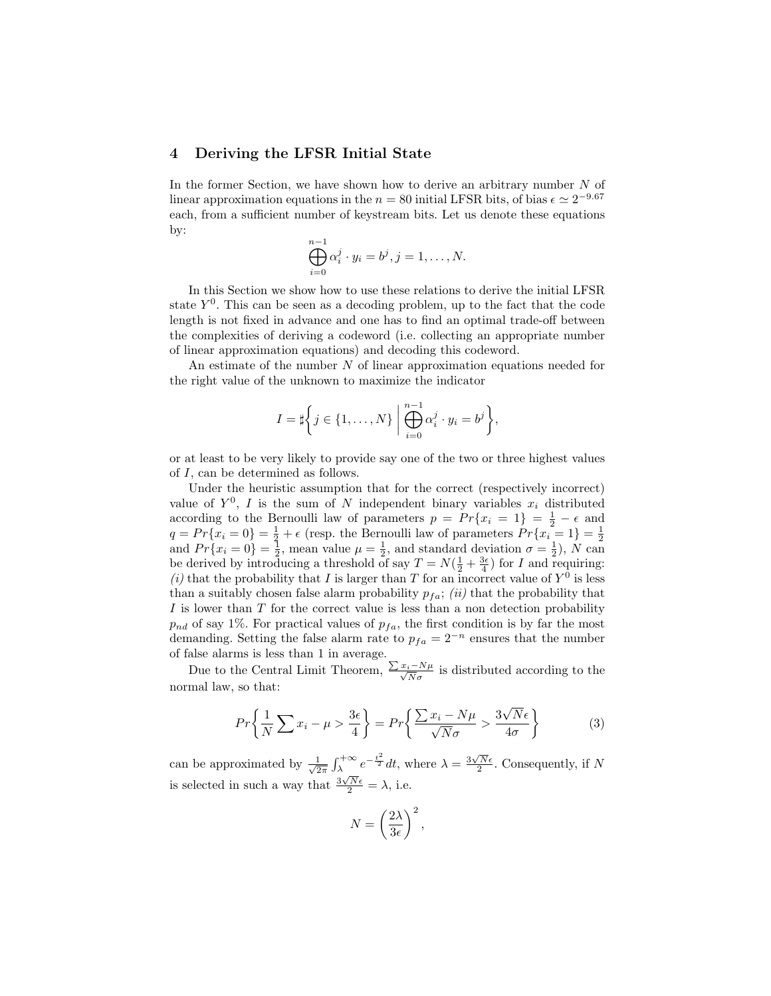## 4 Deriving the LFSR Initial State

In the former Section, we have shown how to derive an arbitrary number  $N$  of linear approximation equations in the  $n = 80$  initial LFSR bits, of bias  $\epsilon \simeq 2^{-9.67}$ each, from a sufficient number of keystream bits. Let us denote these equations by:

$$
\bigoplus_{i=0}^{n-1} \alpha_i^j \cdot y_i = b^j, j = 1, \dots, N.
$$

In this Section we show how to use these relations to derive the initial LFSR state  $Y^0$ . This can be seen as a decoding problem, up to the fact that the code length is not fixed in advance and one has to find an optimal trade-off between the complexities of deriving a codeword (i.e. collecting an appropriate number of linear approximation equations) and decoding this codeword.

An estimate of the number N of linear approximation equations needed for the right value of the unknown to maximize the indicator

$$
I = \sharp \bigg\{ j \in \{1, \ldots, N\} \bigg| \bigoplus_{i=0}^{n-1} \alpha_i^j \cdot y_i = b^j \bigg\},\
$$

or at least to be very likely to provide say one of the two or three highest values of I, can be determined as follows.

Under the heuristic assumption that for the correct (respectively incorrect) value of  $Y^0$ , I is the sum of N independent binary variables  $x_i$  distributed according to the Bernoulli law of parameters  $p = Pr\{x_i = 1\} = \frac{1}{2} - \epsilon$  and  $q = Pr\{x_i = 0\} = \frac{1}{2} + \epsilon$  (resp. the Bernoulli law of parameters  $Pr\{x_i = 1\} = \frac{1}{2}$ and  $Pr\{x_i = 0\} = \frac{1}{2}$ , mean value  $\mu = \frac{1}{2}$ , and standard deviation  $\sigma = \frac{1}{2}$ , N can be derived by introducing a threshold of say  $T = N(\frac{1}{2} + \frac{3\epsilon}{4})$  for I and requiring: (*i*) that the probability that I is larger than T for an incorrect value of  $Y^0$  is less than a suitably chosen false alarm probability  $p_{fa}$ ; *(ii)* that the probability that  $I$  is lower than  $T$  for the correct value is less than a non detection probability  $p_{nd}$  of say 1%. For practical values of  $p_{fa}$ , the first condition is by far the most demanding. Setting the false alarm rate to  $p_{fa} = 2^{-n}$  ensures that the number of false alarms is less than 1 in average.

Due to the Central Limit Theorem,  $\frac{\sum x_i - N\mu}{\sqrt{N}\sigma}$  is distributed according to the normal law, so that:

$$
Pr\left\{\frac{1}{N}\sum x_i - \mu > \frac{3\epsilon}{4}\right\} = Pr\left\{\frac{\sum x_i - N\mu}{\sqrt{N}\sigma} > \frac{3\sqrt{N}\epsilon}{4\sigma}\right\} \tag{3}
$$

can be approximated by  $\frac{1}{\sqrt{2}}$  $\frac{1}{2\pi} \int_{\lambda}^{+\infty} e^{-\frac{t^2}{2}} dt$ , where  $\lambda = \frac{3\sqrt{N}\epsilon}{2}$ . Consequently, if N is selected in such a way that  $\frac{3\sqrt{N}\epsilon}{2} = \lambda$ , i.e.

$$
N = \left(\frac{2\lambda}{3\epsilon}\right)^2,
$$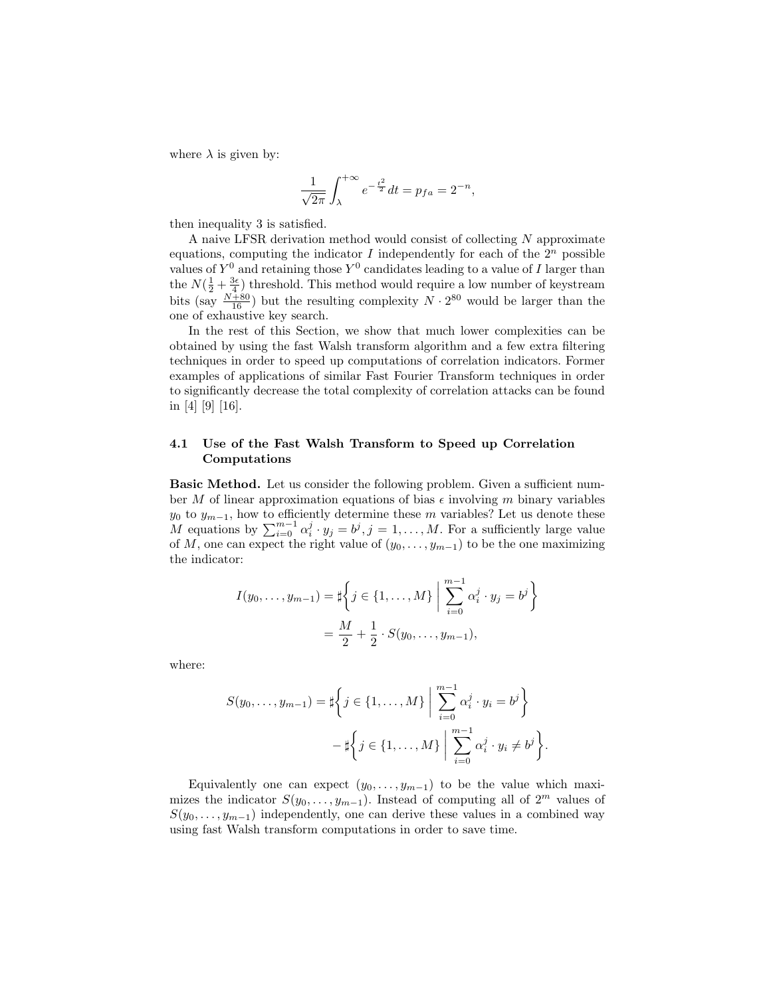where  $\lambda$  is given by:

$$
\frac{1}{\sqrt{2\pi}} \int_{\lambda}^{+\infty} e^{-\frac{t^2}{2}} dt = p_{fa} = 2^{-n},
$$

then inequality 3 is satisfied.

A naive LFSR derivation method would consist of collecting N approximate equations, computing the indicator  $I$  independently for each of the  $2^n$  possible values of  $Y^0$  and retaining those  $Y^0$  candidates leading to a value of I larger than the  $N(\frac{1}{2} + \frac{3\epsilon}{4})$  threshold. This method would require a low number of keystream bits (say  $\frac{N+80}{16}$ ) but the resulting complexity  $N \cdot 2^{80}$  would be larger than the one of exhaustive key search.

In the rest of this Section, we show that much lower complexities can be obtained by using the fast Walsh transform algorithm and a few extra filtering techniques in order to speed up computations of correlation indicators. Former examples of applications of similar Fast Fourier Transform techniques in order to significantly decrease the total complexity of correlation attacks can be found in [4] [9] [16].

## 4.1 Use of the Fast Walsh Transform to Speed up Correlation Computations

Basic Method. Let us consider the following problem. Given a sufficient number M of linear approximation equations of bias  $\epsilon$  involving m binary variables  $y_0$  to  $y_{m-1}$ , how to efficiently determine these m variables? Let us denote these M equations by  $\sum_{i=0}^{m-1} \alpha_i^j \cdot y_j = b^j, j = 1, \ldots, M$ . For a sufficiently large value of M, one can expect the right value of  $(y_0, \ldots, y_{m-1})$  to be the one maximizing the indicator:

$$
I(y_0, \dots, y_{m-1}) = \sharp \left\{ j \in \{1, \dots, M\} \; \middle| \; \sum_{i=0}^{m-1} \alpha_i^j \cdot y_j = b^j \right\}
$$

$$
= \frac{M}{2} + \frac{1}{2} \cdot S(y_0, \dots, y_{m-1}),
$$

where:

$$
S(y_0, ..., y_{m-1}) = \sharp \left\{ j \in \{1, ..., M\} \; \middle| \; \sum_{i=0}^{m-1} \alpha_i^j \cdot y_i = b^j \right\}
$$

$$
-\sharp \left\{ j \in \{1, ..., M\} \; \middle| \; \sum_{i=0}^{m-1} \alpha_i^j \cdot y_i \neq b^j \right\}.
$$

Equivalently one can expect  $(y_0, \ldots, y_{m-1})$  to be the value which maximizes the indicator  $S(y_0, \ldots, y_{m-1})$ . Instead of computing all of  $2^m$  values of  $S(y_0, \ldots, y_{m-1})$  independently, one can derive these values in a combined way using fast Walsh transform computations in order to save time.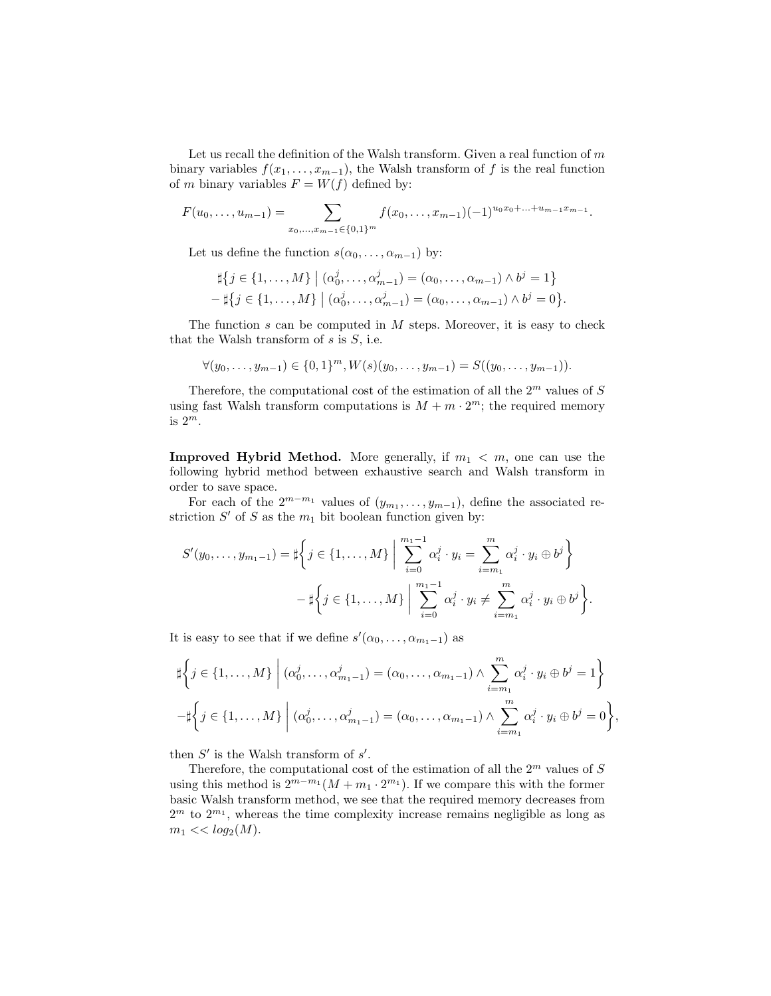Let us recall the definition of the Walsh transform. Given a real function of  $m$ binary variables  $f(x_1, \ldots, x_{m-1})$ , the Walsh transform of f is the real function of m binary variables  $F = W(f)$  defined by:

$$
F(u_0,\ldots,u_{m-1})=\sum_{x_0,\ldots,x_{m-1}\in\{0,1\}^m}f(x_0,\ldots,x_{m-1})(-1)^{u_0x_0+\ldots+u_{m-1}x_{m-1}}.
$$

Let us define the function  $s(\alpha_0, \ldots, \alpha_{m-1})$  by:

$$
\sharp \{ j \in \{1, ..., M\} \mid (\alpha_0^j, ..., \alpha_{m-1}^j) = (\alpha_0, ..., \alpha_{m-1}) \land b^j = 1 \} - \sharp \{ j \in \{1, ..., M\} \mid (\alpha_0^j, ..., \alpha_{m-1}^j) = (\alpha_0, ..., \alpha_{m-1}) \land b^j = 0 \}.
$$

The function  $s$  can be computed in  $M$  steps. Moreover, it is easy to check that the Walsh transform of  $s$  is  $S$ , i.e.

$$
\forall (y_0, \ldots, y_{m-1}) \in \{0, 1\}^m, W(s)(y_0, \ldots, y_{m-1}) = S((y_0, \ldots, y_{m-1})).
$$

Therefore, the computational cost of the estimation of all the  $2<sup>m</sup>$  values of S using fast Walsh transform computations is  $M + m \cdot 2^m$ ; the required memory is  $2^m$ .

**Improved Hybrid Method.** More generally, if  $m_1 < m$ , one can use the following hybrid method between exhaustive search and Walsh transform in order to save space.

For each of the  $2^{m-m_1}$  values of  $(y_{m_1},..., y_{m-1})$ , define the associated restriction  $S'$  of S as the  $m_1$  bit boolean function given by:

$$
S'(y_0, ..., y_{m_1-1}) = \sharp \left\{ j \in \{1, ..., M\} \; \middle| \; \sum_{i=0}^{m_1-1} \alpha_i^j \cdot y_i = \sum_{i=m_1}^m \alpha_i^j \cdot y_i \oplus b^j \right\}
$$

$$
-\sharp \left\{ j \in \{1, ..., M\} \; \middle| \; \sum_{i=0}^{m_1-1} \alpha_i^j \cdot y_i \neq \sum_{i=m_1}^m \alpha_i^j \cdot y_i \oplus b^j \right\}.
$$

It is easy to see that if we define  $s'(\alpha_0, \ldots, \alpha_{m_1-1})$  as

$$
\sharp \left\{ j \in \{1, \ldots, M\} \; \middle| \; (\alpha_0^j, \ldots, \alpha_{m_1-1}^j) = (\alpha_0, \ldots, \alpha_{m_1-1}) \wedge \sum_{i=m_1}^m \alpha_i^j \cdot y_i \oplus b^j = 1 \right\}
$$
  

$$
-\sharp \left\{ j \in \{1, \ldots, M\} \; \middle| \; (\alpha_0^j, \ldots, \alpha_{m_1-1}^j) = (\alpha_0, \ldots, \alpha_{m_1-1}) \wedge \sum_{i=m_1}^m \alpha_i^j \cdot y_i \oplus b^j = 0 \right\},\
$$

then  $S'$  is the Walsh transform of  $s'$ .

Therefore, the computational cost of the estimation of all the  $2<sup>m</sup>$  values of S using this method is  $2^{m-m_1}(M + m_1 \cdot 2^{m_1})$ . If we compare this with the former basic Walsh transform method, we see that the required memory decreases from  $2^m$  to  $2^{m_1}$ , whereas the time complexity increase remains negligible as long as  $m_1 \ll log_2(M)$ .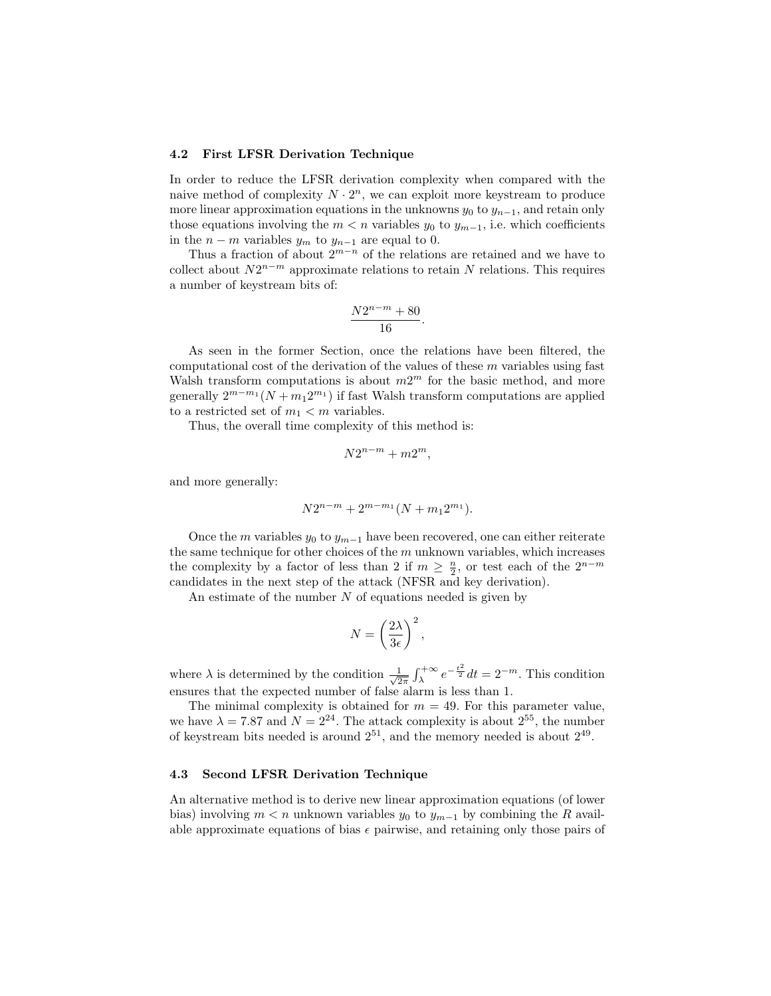#### 4.2 First LFSR Derivation Technique

In order to reduce the LFSR derivation complexity when compared with the naive method of complexity  $N \cdot 2^n$ , we can exploit more keystream to produce more linear approximation equations in the unknowns  $y_0$  to  $y_{n-1}$ , and retain only those equations involving the  $m < n$  variables  $y_0$  to  $y_{m-1}$ , i.e. which coefficients in the  $n - m$  variables  $y_m$  to  $y_{n-1}$  are equal to 0.

Thus a fraction of about  $2^{m-n}$  of the relations are retained and we have to collect about  $N2^{n-m}$  approximate relations to retain N relations. This requires a number of keystream bits of:

$$
\frac{N2^{n-m}+80}{16}.
$$

As seen in the former Section, once the relations have been filtered, the computational cost of the derivation of the values of these  $m$  variables using fast Walsh transform computations is about  $m2^m$  for the basic method, and more generally  $2^{m-m_1}(N+m_12^{m_1})$  if fast Walsh transform computations are applied to a restricted set of  $m_1 < m$  variables.

Thus, the overall time complexity of this method is:

$$
N2^{n-m} + m2^m,
$$

and more generally:

$$
N2^{n-m} + 2^{m-m_1}(N+m_12^{m_1}).
$$

Once the m variables  $y_0$  to  $y_{m-1}$  have been recovered, one can either reiterate the same technique for other choices of the  $m$  unknown variables, which increases the complexity by a factor of less than 2 if  $m \geq \frac{n}{2}$ , or test each of the  $2^{n-m}$ candidates in the next step of the attack (NFSR and key derivation).

An estimate of the number  $N$  of equations needed is given by

$$
N = \left(\frac{2\lambda}{3\epsilon}\right)^2,
$$

where  $\lambda$  is determined by the condition  $\frac{1}{\sqrt{2}}$  $\frac{1}{2\pi} \int_{\lambda}^{+\infty} e^{-\frac{t^2}{2}} dt = 2^{-m}$ . This condition ensures that the expected number of false alarm is less than 1.

The minimal complexity is obtained for  $m = 49$ . For this parameter value, we have  $\lambda = 7.87$  and  $N = 2^{24}$ . The attack complexity is about  $2^{55}$ , the number of keystream bits needed is around  $2^{51}$ , and the memory needed is about  $2^{49}$ .

#### 4.3 Second LFSR Derivation Technique

An alternative method is to derive new linear approximation equations (of lower bias) involving  $m < n$  unknown variables  $y_0$  to  $y_{m-1}$  by combining the R available approximate equations of bias  $\epsilon$  pairwise, and retaining only those pairs of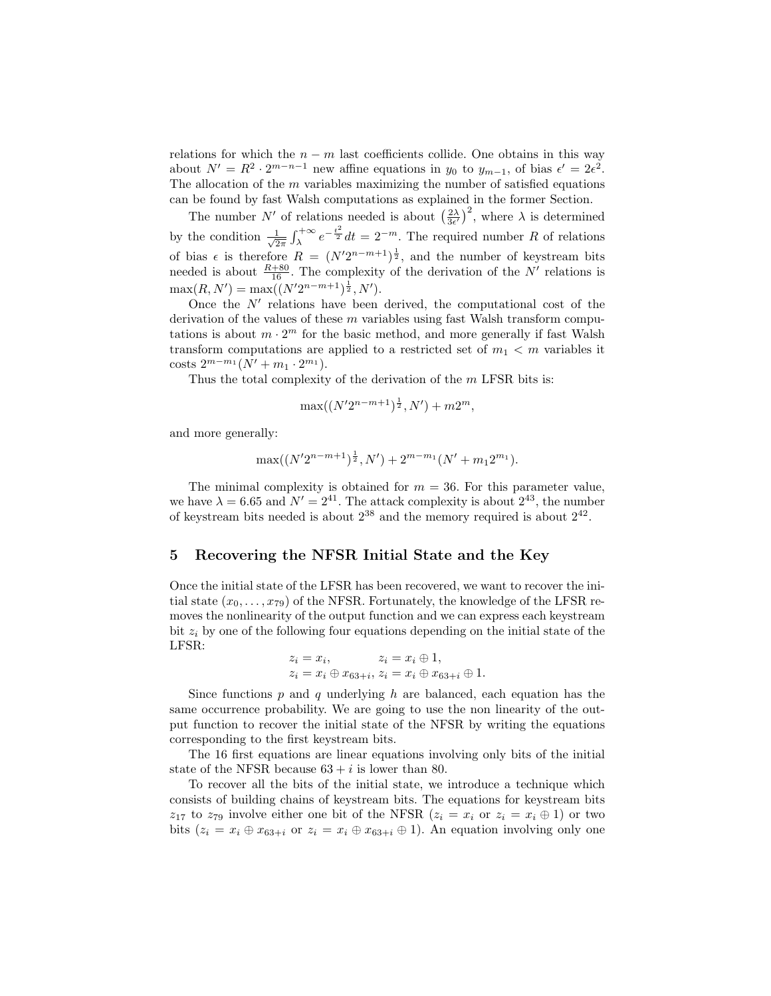relations for which the  $n - m$  last coefficients collide. One obtains in this way about  $N' = R^2 \cdot 2^{m-n-1}$  new affine equations in  $y_0$  to  $y_{m-1}$ , of bias  $\epsilon' = 2\epsilon^2$ . The allocation of the  $m$  variables maximizing the number of satisfied equations can be found by fast Walsh computations as explained in the former Section.

The number N' of relations needed is about  $\left(\frac{2\lambda}{3\epsilon'}\right)^2$ , where  $\lambda$  is determined by the condition  $\frac{1}{\sqrt{2}}$  $\frac{1}{2\pi} \int_{\lambda}^{+\infty} e^{-\frac{t^2}{2}} dt = 2^{-m}$ . The required number R of relations of bias  $\epsilon$  is therefore  $R = (N'2^{n-m+1})^{\frac{1}{2}}$ , and the number of keystream bits needed is about  $\frac{R+80}{16}$ . The complexity of the derivation of the N' relations is  $\max(R, N') = \max((N'2^{n-m+1})^{\frac{1}{2}}, N').$ 

Once the  $N'$  relations have been derived, the computational cost of the derivation of the values of these  $m$  variables using fast Walsh transform computations is about  $m \cdot 2^m$  for the basic method, and more generally if fast Walsh transform computations are applied to a restricted set of  $m_1 < m$  variables it costs  $2^{m-m_1}(N' + m_1 \cdot 2^{m_1}).$ 

Thus the total complexity of the derivation of the  $m$  LFSR bits is:

$$
\max((N'2^{n-m+1})^{\frac{1}{2}}, N') + m2^m,
$$

and more generally:

$$
\max((N'2^{n-m+1})^{\frac{1}{2}}, N') + 2^{m-m_1}(N' + m_1 2^{m_1}).
$$

The minimal complexity is obtained for  $m = 36$ . For this parameter value, we have  $\lambda = 6.65$  and  $N' = 2^{41}$ . The attack complexity is about  $2^{43}$ , the number of keystream bits needed is about  $2^{38}$  and the memory required is about  $2^{42}$ .

## 5 Recovering the NFSR Initial State and the Key

Once the initial state of the LFSR has been recovered, we want to recover the initial state  $(x_0, \ldots, x_{79})$  of the NFSR. Fortunately, the knowledge of the LFSR removes the nonlinearity of the output function and we can express each keystream bit  $z_i$  by one of the following four equations depending on the initial state of the LFSR:

$$
z_i = x_i
$$
,  $z_i = x_i \oplus 1$ ,  
\n $z_i = x_i \oplus x_{63+i}$ ,  $z_i = x_i \oplus x_{63+i} \oplus 1$ .

Since functions  $p$  and  $q$  underlying  $h$  are balanced, each equation has the same occurrence probability. We are going to use the non linearity of the output function to recover the initial state of the NFSR by writing the equations corresponding to the first keystream bits.

The 16 first equations are linear equations involving only bits of the initial state of the NFSR because  $63 + i$  is lower than 80.

To recover all the bits of the initial state, we introduce a technique which consists of building chains of keystream bits. The equations for keystream bits  $z_{17}$  to  $z_{79}$  involve either one bit of the NFSR  $(z_i = x_i \text{ or } z_i = x_i \oplus 1)$  or two bits  $(z_i = x_i \oplus x_{63+i}$  or  $z_i = x_i \oplus x_{63+i} \oplus 1$ . An equation involving only one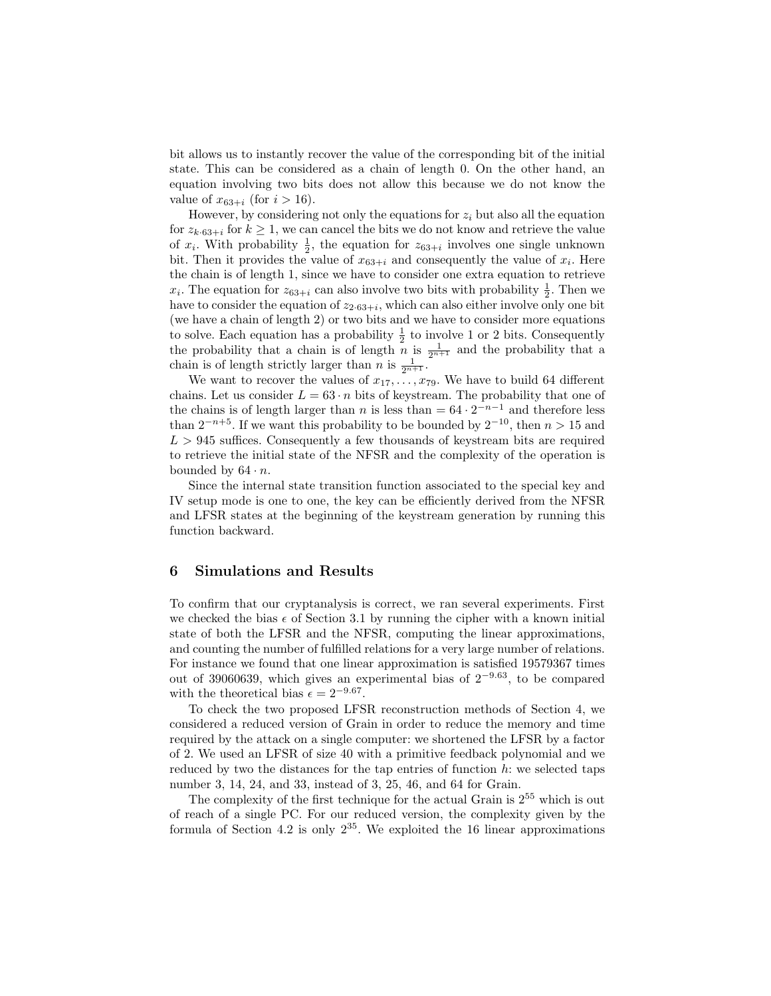bit allows us to instantly recover the value of the corresponding bit of the initial state. This can be considered as a chain of length 0. On the other hand, an equation involving two bits does not allow this because we do not know the value of  $x_{63+i}$  (for  $i > 16$ ).

However, by considering not only the equations for  $z_i$  but also all the equation for  $z_{k.63+i}$  for  $k \ge 1$ , we can cancel the bits we do not know and retrieve the value of  $x_i$ . With probability  $\frac{1}{2}$ , the equation for  $z_{63+i}$  involves one single unknown bit. Then it provides the value of  $x_{63+i}$  and consequently the value of  $x_i$ . Here the chain is of length 1, since we have to consider one extra equation to retrieve  $x_i$ . The equation for  $z_{63+i}$  can also involve two bits with probability  $\frac{1}{2}$ . Then we have to consider the equation of  $z_{2.63+i}$ , which can also either involve only one bit (we have a chain of length 2) or two bits and we have to consider more equations to solve. Each equation has a probability  $\frac{1}{2}$  to involve 1 or 2 bits. Consequently the probability that a chain is of length  $\overline{n}$  is  $\frac{1}{2^{n+1}}$  and the probability that a chain is of length strictly larger than *n* is  $\frac{1}{2^{n+1}}$ .

We want to recover the values of  $x_1, \ldots, x_{79}$ . We have to build 64 different chains. Let us consider  $L = 63 \cdot n$  bits of keystream. The probability that one of the chains is of length larger than n is less than  $= 64 \cdot 2^{-n-1}$  and therefore less than  $2^{-n+5}$ . If we want this probability to be bounded by  $2^{-10}$ , then  $n > 15$  and  $L > 945$  suffices. Consequently a few thousands of keystream bits are required to retrieve the initial state of the NFSR and the complexity of the operation is bounded by  $64 \cdot n$ .

Since the internal state transition function associated to the special key and IV setup mode is one to one, the key can be efficiently derived from the NFSR and LFSR states at the beginning of the keystream generation by running this function backward.

## 6 Simulations and Results

To confirm that our cryptanalysis is correct, we ran several experiments. First we checked the bias  $\epsilon$  of Section 3.1 by running the cipher with a known initial state of both the LFSR and the NFSR, computing the linear approximations, and counting the number of fulfilled relations for a very large number of relations. For instance we found that one linear approximation is satisfied 19579367 times out of 39060639, which gives an experimental bias of  $2^{-9.63}$ , to be compared with the theoretical bias  $\epsilon = 2^{-9.67}$ .

To check the two proposed LFSR reconstruction methods of Section 4, we considered a reduced version of Grain in order to reduce the memory and time required by the attack on a single computer: we shortened the LFSR by a factor of 2. We used an LFSR of size 40 with a primitive feedback polynomial and we reduced by two the distances for the tap entries of function  $h$ : we selected taps number 3, 14, 24, and 33, instead of 3, 25, 46, and 64 for Grain.

The complexity of the first technique for the actual Grain is  $2^{55}$  which is out of reach of a single PC. For our reduced version, the complexity given by the formula of Section 4.2 is only  $2^{35}$ . We exploited the 16 linear approximations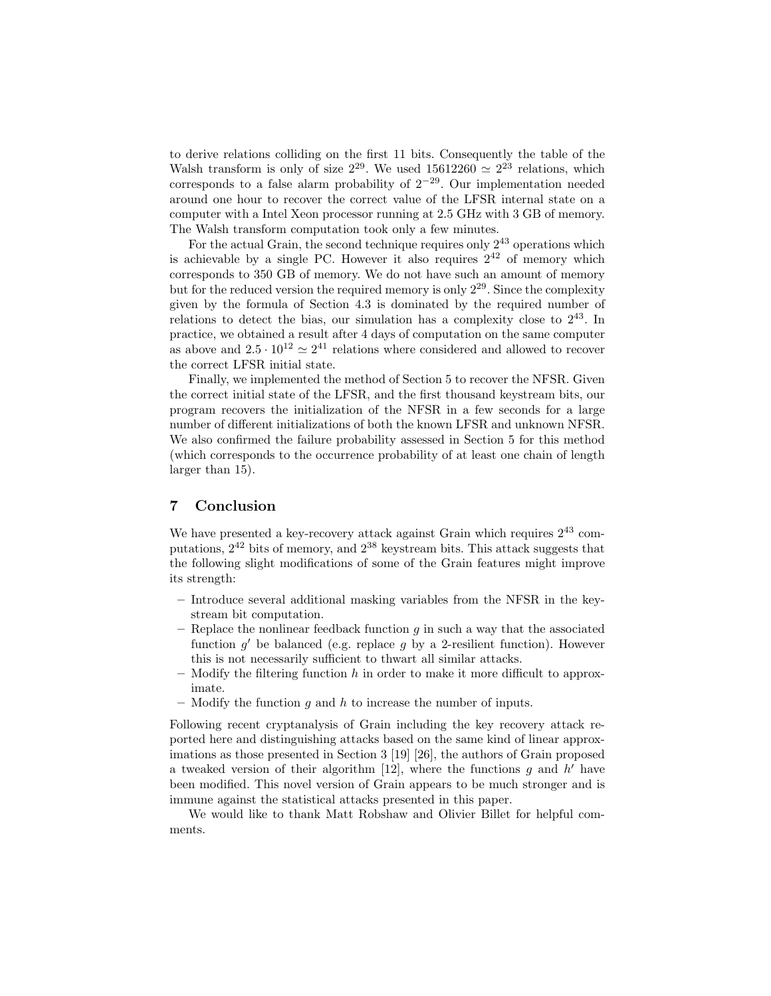to derive relations colliding on the first 11 bits. Consequently the table of the Walsh transform is only of size  $2^{29}$ . We used  $15612260 \simeq 2^{23}$  relations, which corresponds to a false alarm probability of  $2^{-29}$ . Our implementation needed around one hour to recover the correct value of the LFSR internal state on a computer with a Intel Xeon processor running at 2.5 GHz with 3 GB of memory. The Walsh transform computation took only a few minutes.

For the actual Grain, the second technique requires only  $2^{43}$  operations which is achievable by a single PC. However it also requires  $2^{42}$  of memory which corresponds to 350 GB of memory. We do not have such an amount of memory but for the reduced version the required memory is only  $2^{29}$ . Since the complexity given by the formula of Section 4.3 is dominated by the required number of relations to detect the bias, our simulation has a complexity close to  $2^{43}$ . In practice, we obtained a result after 4 days of computation on the same computer as above and  $2.5 \cdot 10^{12} \simeq 2^{41}$  relations where considered and allowed to recover the correct LFSR initial state.

Finally, we implemented the method of Section 5 to recover the NFSR. Given the correct initial state of the LFSR, and the first thousand keystream bits, our program recovers the initialization of the NFSR in a few seconds for a large number of different initializations of both the known LFSR and unknown NFSR. We also confirmed the failure probability assessed in Section 5 for this method (which corresponds to the occurrence probability of at least one chain of length larger than 15).

# 7 Conclusion

We have presented a key-recovery attack against Grain which requires  $2^{43}$  computations,  $2^{42}$  bits of memory, and  $2^{38}$  keystream bits. This attack suggests that the following slight modifications of some of the Grain features might improve its strength:

- Introduce several additional masking variables from the NFSR in the keystream bit computation.
- Replace the nonlinear feedback function  $g$  in such a way that the associated function  $g'$  be balanced (e.g. replace  $g$  by a 2-resilient function). However this is not necessarily sufficient to thwart all similar attacks.
- Modify the filtering function h in order to make it more difficult to approximate.
- Modify the function g and h to increase the number of inputs.

Following recent cryptanalysis of Grain including the key recovery attack reported here and distinguishing attacks based on the same kind of linear approximations as those presented in Section 3 [19] [26], the authors of Grain proposed a tweaked version of their algorithm  $[12]$ , where the functions g and h' have been modified. This novel version of Grain appears to be much stronger and is immune against the statistical attacks presented in this paper.

We would like to thank Matt Robshaw and Olivier Billet for helpful comments.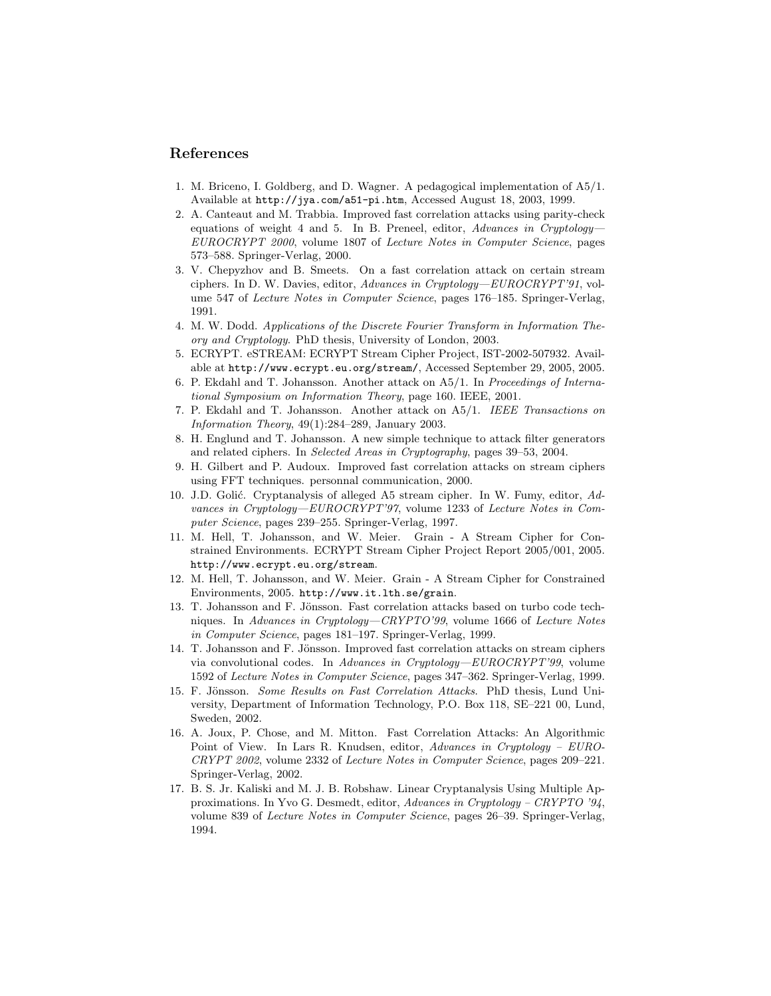## References

- 1. M. Briceno, I. Goldberg, and D. Wagner. A pedagogical implementation of A5/1. Available at http://jya.com/a51-pi.htm, Accessed August 18, 2003, 1999.
- 2. A. Canteaut and M. Trabbia. Improved fast correlation attacks using parity-check equations of weight 4 and 5. In B. Preneel, editor, Advances in Cryptology-EUROCRYPT 2000, volume 1807 of Lecture Notes in Computer Science, pages 573–588. Springer-Verlag, 2000.
- 3. V. Chepyzhov and B. Smeets. On a fast correlation attack on certain stream ciphers. In D. W. Davies, editor, Advances in Cryptology—EUROCRYPT'91, volume 547 of Lecture Notes in Computer Science, pages 176–185. Springer-Verlag, 1991.
- 4. M. W. Dodd. Applications of the Discrete Fourier Transform in Information Theory and Cryptology. PhD thesis, University of London, 2003.
- 5. ECRYPT. eSTREAM: ECRYPT Stream Cipher Project, IST-2002-507932. Available at http://www.ecrypt.eu.org/stream/, Accessed September 29, 2005, 2005.
- 6. P. Ekdahl and T. Johansson. Another attack on A5/1. In Proceedings of International Symposium on Information Theory, page 160. IEEE, 2001.
- 7. P. Ekdahl and T. Johansson. Another attack on A5/1. IEEE Transactions on Information Theory, 49(1):284–289, January 2003.
- 8. H. Englund and T. Johansson. A new simple technique to attack filter generators and related ciphers. In Selected Areas in Cryptography, pages 39–53, 2004.
- 9. H. Gilbert and P. Audoux. Improved fast correlation attacks on stream ciphers using FFT techniques. personnal communication, 2000.
- 10. J.D. Golić. Cryptanalysis of alleged A5 stream cipher. In W. Fumy, editor, Advances in Cryptology—EUROCRYPT'97, volume 1233 of Lecture Notes in Computer Science, pages 239–255. Springer-Verlag, 1997.
- 11. M. Hell, T. Johansson, and W. Meier. Grain A Stream Cipher for Constrained Environments. ECRYPT Stream Cipher Project Report 2005/001, 2005. http://www.ecrypt.eu.org/stream.
- 12. M. Hell, T. Johansson, and W. Meier. Grain A Stream Cipher for Constrained Environments, 2005. http://www.it.lth.se/grain.
- 13. T. Johansson and F. Jönsson. Fast correlation attacks based on turbo code techniques. In Advances in Cryptology—CRYPTO'99, volume 1666 of Lecture Notes in Computer Science, pages 181–197. Springer-Verlag, 1999.
- 14. T. Johansson and F. Jönsson. Improved fast correlation attacks on stream ciphers via convolutional codes. In Advances in Cryptology—EUROCRYPT'99, volume 1592 of Lecture Notes in Computer Science, pages 347–362. Springer-Verlag, 1999.
- 15. F. Jönsson. Some Results on Fast Correlation Attacks. PhD thesis, Lund University, Department of Information Technology, P.O. Box 118, SE–221 00, Lund, Sweden, 2002.
- 16. A. Joux, P. Chose, and M. Mitton. Fast Correlation Attacks: An Algorithmic Point of View. In Lars R. Knudsen, editor, Advances in Cryptology – EURO-CRYPT 2002, volume 2332 of Lecture Notes in Computer Science, pages 209–221. Springer-Verlag, 2002.
- 17. B. S. Jr. Kaliski and M. J. B. Robshaw. Linear Cryptanalysis Using Multiple Approximations. In Yvo G. Desmedt, editor, Advances in Cryptology – CRYPTO '94, volume 839 of Lecture Notes in Computer Science, pages 26–39. Springer-Verlag, 1994.